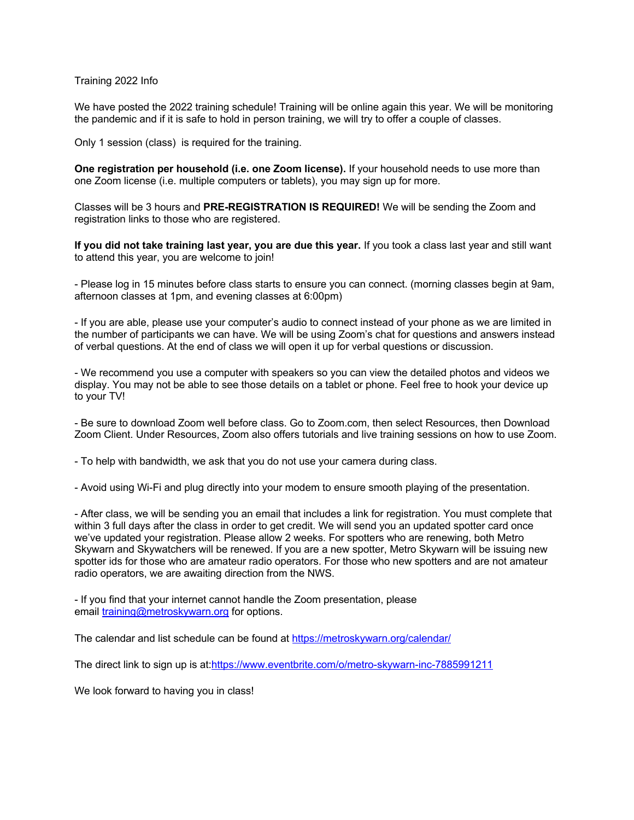Training 2022 Info

We have posted the 2022 training schedule! Training will be online again this year. We will be monitoring the pandemic and if it is safe to hold in person training, we will try to offer a couple of classes.

Only 1 session (class) is required for the training.

**One registration per household (i.e. one Zoom license).** If your household needs to use more than one Zoom license (i.e. multiple computers or tablets), you may sign up for more.

Classes will be 3 hours and **PRE-REGISTRATION IS REQUIRED!** We will be sending the Zoom and registration links to those who are registered.

**If you did not take training last year, you are due this year.** If you took a class last year and still want to attend this year, you are welcome to join!

- Please log in 15 minutes before class starts to ensure you can connect. (morning classes begin at 9am, afternoon classes at 1pm, and evening classes at 6:00pm)

- If you are able, please use your computer's audio to connect instead of your phone as we are limited in the number of participants we can have. We will be using Zoom's chat for questions and answers instead of verbal questions. At the end of class we will open it up for verbal questions or discussion.

- We recommend you use a computer with speakers so you can view the detailed photos and videos we display. You may not be able to see those details on a tablet or phone. Feel free to hook your device up to your TV!

- Be sure to download Zoom well before class. Go to Zoom.com, then select Resources, then Download Zoom Client. Under Resources, Zoom also offers tutorials and live training sessions on how to use Zoom.

- To help with bandwidth, we ask that you do not use your camera during class.

- Avoid using Wi-Fi and plug directly into your modem to ensure smooth playing of the presentation.

- After class, we will be sending you an email that includes a link for registration. You must complete that within 3 full days after the class in order to get credit. We will send you an updated spotter card once we've updated your registration. Please allow 2 weeks. For spotters who are renewing, both Metro Skywarn and Skywatchers will be renewed. If you are a new spotter, Metro Skywarn will be issuing new spotter ids for those who are amateur radio operators. For those who new spotters and are not amateur radio operators, we are awaiting direction from the NWS.

- If you find that your internet cannot handle the Zoom presentation, please email training@metroskywarn.org for options.

The calendar and list schedule can be found at https://metroskywarn.org/calendar/

The direct link to sign up is at:https://www.eventbrite.com/o/metro-skywarn-inc-7885991211

We look forward to having you in class!